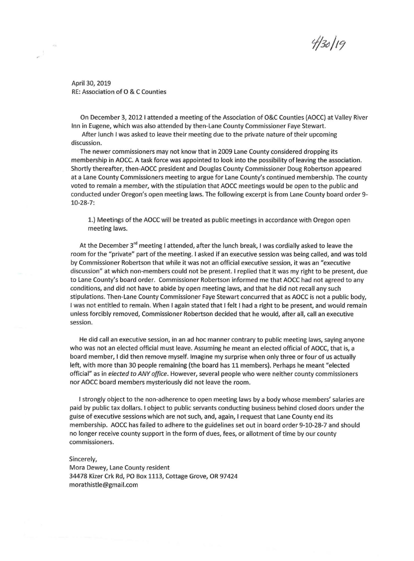$130/19$ 

April 30, 2019 RE: Association of O & C Counties

On December 3, 2012 I attended a meeting of the Association of O&C Counties (AOCC) at Valley River Inn in Eugene, which was also attended by then-Lane County Commissioner Faye Stewart.

After lunch I was asked to leave their meeting due to the private nature of their upcoming discussion.

The newer commissioners may not know that in 2009 Lane County considered dropping its membership in AOCC. A task force was appointed to look into the possibility of leaving the association. Shortly thereafter, then-AOCC president and Douglas County Commissioner Doug Robertson appeared at a Lane County Commissioners meeting to argue for Lane County's continued membership. The county voted to remain a member, with the stipulation that AOCC meetings would be open to the public and conducted under Oregon's open meeting laws. The following excerpt is from Lane County board order 9- 10-28-7:

1.) Meetings of the AOCC will be treated as public meetings in accordance with Oregon open meeting laws.

At the December 3<sup>rd</sup> meeting I attended, after the lunch break, I was cordially asked to leave the room for the "private" part of the meeting. I asked if an executive session was being called, and was told by Commissioner Robertson that while it was not an official executive session, it was an "executive discussion" at which non-members could not be present. I replied that it was my right to be present, due to Lane County's board order. Commissioner Robertson informed me that AOCC had not agreed to any conditions, and did not have to abide by open meeting laws, and that he did not recall any such stipulations. Then-Lane County Commissioner Faye Stewart concurred that as AOCC is not a public body, I was not entitled to remain. When I again stated that I felt I had a right to be present, and would remain unless forcibly removed, Commissioner Robertson decided that he would, after all, call an executive session.

He did call an executive session, in an ad hoc manner contrary to public meeting laws, saying anyone who was not an elected official must leave. Assuming he meant an elected official of AOCC, that is, a board member, I did then remove myself. Imagine my surprise when only three or four of us actually left, with more than 30 people remaining (the board has 11 members). Perhaps he meant "elected official" as in *elected to ANY office.* However, several people who were neither county commissioners nor AOCC board members mysteriously did not leave the room.

I strongly object to the non-adherence to open meeting laws by a body whose members' salaries are paid by public tax dollars. I object to public servants conducting business behind closed doors under the guise of executive sessions which are not such, and, again, I request that Lane County end its membership. AOCC has failed to adhere to the guidelines set out in board order 9-10-28-7 and should no longer receive county support in the form of dues, fees, or allotment of time by our county commissioners.

Sincerely,

Mora Dewey, Lane County resident 34478 Kizer Crk Rd, PO Box 1113, Cottage Grove, OR 97424 morathistle@gmail.com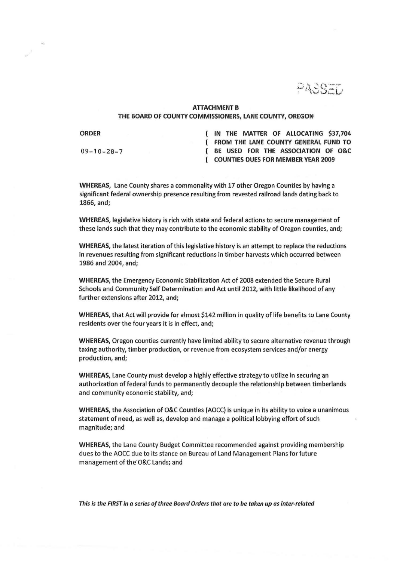PASSED

## ATTACHMENT B THE BOARD OF COUNTY COMMISSIONERS, LANE COUNTY, OREGON

ORDER

 $\frac{1}{2}$ 

 $09 - 10 - 28 - 7$ 

IN THE MATTER OF ALLOCATING \$37,704 FROM THE LANE COUNTY GENERAL FUND TO BE USED FOR THE ASSOCIATION OF O&C COUNTIES DUES FOR MEMBER YEAR 2009

WHEREAS, Lane County shares a commonality with 17 other Oregon Counties by having a significant federal ownership presence resulting from revested railroad lands dating back to 1866, and;

WHEREAS, legislative history is rich with state and federal actions to secure management of these lands such that they may contribute to the economic stability of Oregon counties, and;

WHEREAS, the latest iteration of this legislative history is an attempt to replace the reductions in revenues resulting from significant reductions in timber harvests which occurred between 1986 and 2004, and;

WHEREAS; the Emergency Economic Stabilization Act of 2008 extended the Secure Rural Schools and Community Self Determination and Act until 2012, with little likelihood of any further extensions after 2012, and;

WHEREAS, that Act will provide for almost \$142 million in quality of life benefits to Lane County residents over the four years it is in effect, and;

WHEREAS, Oregon counties currently have limited ability to secure alternative revenue through taxing authority, timber production, or revenue from ecosystem services and/or energy production, and;

WHEREAS, Lane County must develop a highly effective strategy to utilize in securing an authorization offederal funds to permanently decouple the relationship between timberlands and community economic stability, and;

WHEREAS, the Association of O&C Counties (AOCC) is unique in its ability to voice a unanimous statement of need, as well as, develop and manage a political lobbying effort of such magnitude; and

WHEREAS, the Lane County Budget Committee recommended against providing membership dues to the AOCC due to its stance on Bureau of Land Management Plans for future management of the O&C Lands; and

This is the FIRST In a series of three Board Orders that are to be taken up as inter-related